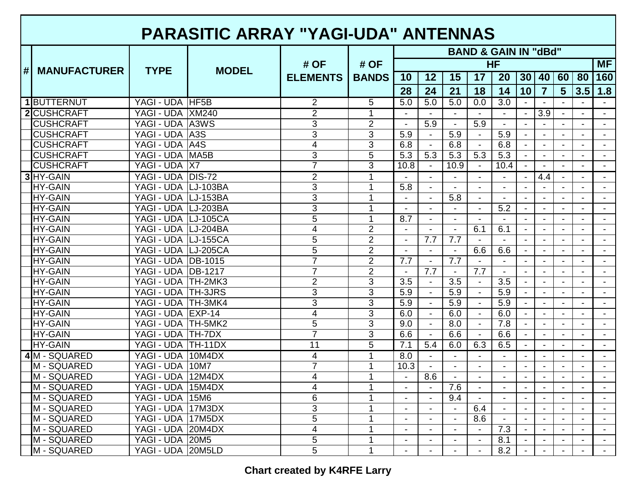## **PARASITIC ARRAY "YAGI-UDA" ANTENNAS**

|   |                     |                           |              |                         |                      | <b>BAND &amp; GAIN IN "dBd"</b> |                |                  |                  |                  |                          |                  |                |                |                |  |  |  |  |
|---|---------------------|---------------------------|--------------|-------------------------|----------------------|---------------------------------|----------------|------------------|------------------|------------------|--------------------------|------------------|----------------|----------------|----------------|--|--|--|--|
|   |                     |                           | <b>MODEL</b> | # OF<br><b>ELEMENTS</b> | # OF<br><b>BANDS</b> | HF<br><b>MF</b>                 |                |                  |                  |                  |                          |                  |                |                |                |  |  |  |  |
| # | <b>MANUFACTURER</b> | <b>TYPE</b>               |              |                         |                      | 10                              | 12             | 15               | 17               | 20               | 30                       | 40               | 60             | 80             | 160            |  |  |  |  |
|   |                     |                           |              |                         |                      | 28                              | 24             | 21               | 18               | 14               | 10                       | $\overline{7}$   | $5\phantom{1}$ | 3.5            | 1.8            |  |  |  |  |
|   | 1 BUTTERNUT         | YAGI - UDA HF5B           |              | 2                       | 5                    | 5.0                             | 5.0            | 5.0              | 0.0              | $\overline{3.0}$ | $\blacksquare$           |                  |                | $\sim$         | $\sim$         |  |  |  |  |
|   | <b>2</b> CUSHCRAFT  | YAGI - UDA XM240          |              | $\overline{2}$          | $\overline{1}$       |                                 |                | $\sim$           |                  |                  | $\blacksquare$           | $\overline{3.9}$ | $\blacksquare$ | $\sim$         | $\mathbf{r}$   |  |  |  |  |
|   | <b>CUSHCRAFT</b>    | YAGI - UDA A3WS           |              | 3                       | $\overline{2}$       | $\blacksquare$                  | 5.9            | $\blacksquare$   | $\overline{5.9}$ | $\blacksquare$   | $\blacksquare$           |                  |                | $\mathbf{r}$   | $\blacksquare$ |  |  |  |  |
|   | <b>CUSHCRAFT</b>    | YAGI - UDA A3S            |              | 3                       | 3                    | 5.9                             | $\blacksquare$ | 5.9              |                  | 5.9              | $\blacksquare$           |                  |                | $\overline{a}$ | $\blacksquare$ |  |  |  |  |
|   | <b>CUSHCRAFT</b>    | YAGI - UDA A4S            |              | 4                       | 3                    | 6.8                             | $\blacksquare$ | 6.8              |                  | 6.8              | $\blacksquare$           |                  | $\blacksquare$ | $\blacksquare$ | $\blacksquare$ |  |  |  |  |
|   | <b>CUSHCRAFT</b>    | YAGI - UDA MA5B           |              | 3                       | 5                    | 5.3                             | 5.3            | 5.3              | 5.3              | 5.3              |                          |                  |                |                |                |  |  |  |  |
|   | <b>CUSHCRAFT</b>    | YAGI - UDA X7             |              | 7                       | 3                    | 10.8                            | $\blacksquare$ | 10.9             |                  | 10.4             |                          |                  |                |                | $\sim$         |  |  |  |  |
|   | 3 HY-GAIN           | YAGI - UDA DIS-72         |              | $\overline{2}$          | 1                    |                                 |                | $\sim$           |                  |                  | $\blacksquare$           | 4.4              | $\blacksquare$ | $\blacksquare$ | $\sim$         |  |  |  |  |
|   | <b>HY-GAIN</b>      | YAGI - UDA LJ-103BA       |              | 3                       |                      | 5.8                             | $\sim$         |                  |                  |                  | $\blacksquare$           |                  |                |                | $\sim$         |  |  |  |  |
|   | <b>HY-GAIN</b>      | YAGI - UDA LJ-153BA       |              | $\overline{3}$          |                      |                                 |                | 5.8              |                  |                  |                          |                  |                |                |                |  |  |  |  |
|   | <b>HY-GAIN</b>      | YAGI - UDA LJ-203BA       |              | 3                       |                      |                                 |                |                  |                  | $\overline{5.2}$ |                          |                  |                |                |                |  |  |  |  |
|   | <b>HY-GAIN</b>      | YAGI - UDA LJ-105CA       |              | 5                       | 1                    | 8.7                             |                |                  |                  |                  |                          |                  |                |                |                |  |  |  |  |
|   | <b>HY-GAIN</b>      | YAGI - UDA LJ-204BA       |              | 4                       | $\overline{2}$       | $\sim$                          |                | $\mathbf{r}$     | 6.1              | 6.1              | $\mathbf{r}$             |                  | $\sim$         | $\mathbf{r}$   | $\sim$         |  |  |  |  |
|   | <b>HY-GAIN</b>      | YAGI - UDA LJ-155CA       |              | 5                       | $\overline{2}$       | $\blacksquare$                  | 7.7            | 7.7              |                  |                  | $\blacksquare$           |                  |                | $\mathbf{r}$   | $\sim$         |  |  |  |  |
|   | <b>HY-GAIN</b>      | YAGI - UDA LJ-205CA       |              | 5                       | $\overline{2}$       | $\blacksquare$                  |                | $\blacksquare$   | 6.6              | 6.6              | $\blacksquare$           |                  |                | $\blacksquare$ | $\blacksquare$ |  |  |  |  |
|   | <b>HY-GAIN</b>      | YAGI - UDA DB-1015        |              | $\overline{7}$          | $\overline{2}$       | 7.7                             |                | 7.7              |                  |                  |                          |                  |                |                |                |  |  |  |  |
|   | <b>HY-GAIN</b>      | <b>YAGI - UDA DB-1217</b> |              |                         | $\overline{2}$       |                                 | 7.7            | $\blacksquare$   | 7.7              |                  |                          |                  |                |                |                |  |  |  |  |
|   | <b>HY-GAIN</b>      | YAGI - UDA TH-2MK3        |              | $\overline{2}$          | $\overline{3}$       | $\overline{3.5}$                | $\sim$         | $\overline{3.5}$ | $\blacksquare$   | $\overline{3.5}$ |                          |                  |                | $\blacksquare$ | $\sim$         |  |  |  |  |
|   | <b>HY-GAIN</b>      | YAGI - UDA TH-3JRS        |              | $\overline{3}$          | $\overline{3}$       | 5.9                             | $\blacksquare$ | 5.9              |                  | 5.9              | $\sim$                   |                  |                | $\blacksquare$ | $\sim$         |  |  |  |  |
|   | <b>HY-GAIN</b>      | YAGI - UDA TH-3MK4        |              | $\overline{3}$          | $\overline{3}$       | 5.9                             |                | 5.9              |                  | 5.9              |                          |                  |                |                |                |  |  |  |  |
|   | <b>HY-GAIN</b>      | YAGI - UDA EXP-14         |              | 4                       | 3                    | 6.0                             |                | 6.0              |                  | 6.0              |                          |                  |                |                |                |  |  |  |  |
|   | <b>HY-GAIN</b>      | YAGI - UDA TH-5MK2        |              | $\overline{5}$          | 3                    | 9.0                             |                | 8.0              |                  | $\overline{7.8}$ |                          |                  |                | $\sim$         | $\sim$         |  |  |  |  |
|   | <b>HY-GAIN</b>      | YAGI - UDA TH-7DX         |              | $\overline{7}$          | $\overline{3}$       | 6.6                             | $\sim$         | 6.6              | $\blacksquare$   | 6.6              | $\mathbf{r}$             | $\blacksquare$   | $\blacksquare$ | $\mathbf{r}$   | $\sim$         |  |  |  |  |
|   | <b>HY-GAIN</b>      | YAGI - UDA   TH-11DX      |              | $\overline{11}$         | 5                    | $\overline{7.1}$                | 5.4            | 6.0              | 6.3              | 6.5              | $\blacksquare$           |                  | $\blacksquare$ | $\blacksquare$ | $\blacksquare$ |  |  |  |  |
|   | 4M - SQUARED        | YAGI - UDA 10M4DX         |              | 4                       | 1                    | $\overline{8.0}$                |                |                  |                  |                  |                          |                  |                | $\overline{a}$ | $\blacksquare$ |  |  |  |  |
|   | M - SQUARED         | YAGI - UDA 10M7           |              | 7                       | 1                    | 10.3                            |                | $\blacksquare$   |                  |                  | $\overline{\phantom{a}}$ |                  |                |                | $\blacksquare$ |  |  |  |  |
|   | M - SQUARED         | YAGI - UDA 12M4DX         |              | 4                       |                      |                                 | 8.6            |                  |                  |                  |                          |                  |                |                | $\sim$         |  |  |  |  |
|   | M - SQUARED         | YAGI - UDA 15M4DX         |              | 4                       |                      |                                 |                | 7.6              |                  |                  | $\overline{\phantom{a}}$ |                  |                |                | $\sim$         |  |  |  |  |
|   | M - SQUARED         | YAGI - UDA 15M6           |              | 6                       |                      | $\sim$                          | $\blacksquare$ | 9.4              | $\sim$           | $\overline{a}$   | $\blacksquare$           |                  | $\blacksquare$ | $\blacksquare$ | $\sim$         |  |  |  |  |
|   | M - SQUARED         | YAGI - UDA 17M3DX         |              | 3                       |                      |                                 |                | $\blacksquare$   | 6.4              |                  | $\sim$                   |                  |                |                |                |  |  |  |  |
|   | M - SQUARED         | YAGI - UDA 17M5DX         |              | 5                       | 1                    | $\blacksquare$                  | ÷              | $\blacksquare$   | 8.6              | $\blacksquare$   |                          |                  |                |                |                |  |  |  |  |
|   | M - SQUARED         | YAGI - UDA 20M4DX         |              | 4                       | 1                    |                                 |                |                  |                  | 7.3              |                          |                  |                |                |                |  |  |  |  |
|   | M - SQUARED         | YAGI - UDA 20M5           |              | 5                       |                      | $\overline{a}$                  |                | $\blacksquare$   |                  | 8.1              |                          |                  | $\mathbf{r}$   | $\mathbf{r}$   | $\mathbf{r}$   |  |  |  |  |
|   | M - SQUARED         | YAGI - UDA 20M5LD         |              | 5                       |                      |                                 |                | $\blacksquare$   |                  | 8.2              | $\blacksquare$           | $\blacksquare$   | $\mathbf{r}$   | $\blacksquare$ | $\mathbf{r}$   |  |  |  |  |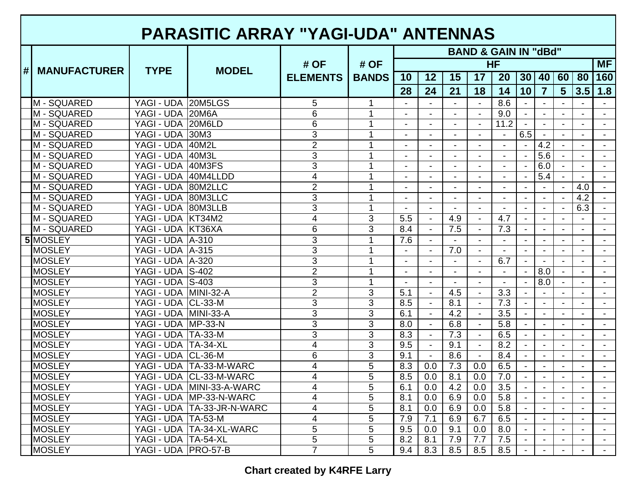## **PARASITIC ARRAY "YAGI-UDA" ANTENNAS**

|                  |                     |                         |                            |                         |                      | <b>BAND &amp; GAIN IN "dBd"</b> |                |                          |                |                  |                          |                  |                |                |                |
|------------------|---------------------|-------------------------|----------------------------|-------------------------|----------------------|---------------------------------|----------------|--------------------------|----------------|------------------|--------------------------|------------------|----------------|----------------|----------------|
|                  |                     |                         | <b>MODEL</b>               | # OF<br><b>ELEMENTS</b> | # OF<br><b>BANDS</b> | HF                              |                |                          |                |                  |                          |                  |                |                | <b>MF</b>      |
| $\vert \# \vert$ | <b>MANUFACTURER</b> | <b>TYPE</b>             |                            |                         |                      | 10                              | 12             | 15                       | 17             | 20               | 30                       | 40               | 60             | 80             | 160            |
|                  |                     |                         |                            |                         |                      | 28                              | 24             | 21                       | 18             | 14               | 10                       | $\overline{7}$   | 5 <sup>5</sup> | 3.5            | 1.8            |
|                  | M - SQUARED         | YAGI - UDA 20M5LGS      |                            | 5                       | $\mathbf 1$          |                                 |                | $\blacksquare$           | $\sim$         | 8.6              |                          |                  |                |                |                |
|                  | M - SQUARED         | YAGI - UDA 20M6A        |                            | $\overline{6}$          | 1                    | $\blacksquare$                  |                |                          |                | 9.0              |                          |                  |                |                |                |
|                  | M - SQUARED         | YAGI - UDA 20M6LD       |                            | 6                       | 1                    | $\sim$                          | $\overline{a}$ | $\blacksquare$           | $\overline{a}$ | 11.2             | $\sim$                   | $\sim$           | $\sim$         | $\sim$         | $\sim$         |
|                  | M - SQUARED         | YAGI - UDA 30M3         |                            | 3                       | 1                    | $\blacksquare$                  | $\blacksquare$ | $\blacksquare$           | $\sim$         | $\sim$           | 6.5                      | $\blacksquare$   | $\mathbf{r}$   | $\mathbf{r}$   | $\mathbf{r}$   |
|                  | M - SQUARED         | YAGI - UDA 40M2L        |                            | $\overline{2}$          | 1                    | $\blacksquare$                  |                | $\overline{a}$           |                | $\blacksquare$   | $\mathbf{r}$             | $4.\overline{2}$ | $\blacksquare$ | $\blacksquare$ | $\blacksquare$ |
|                  | M - SQUARED         | YAGI - UDA 40M3L        |                            | 3                       |                      | $\overline{\phantom{a}}$        | $\blacksquare$ | $\blacksquare$           |                | $\blacksquare$   | $\blacksquare$           | 5.6              |                | $\blacksquare$ | $\blacksquare$ |
|                  | M - SQUARED         | YAGI - UDA 40M3FS       |                            | 3                       |                      |                                 |                | $\blacksquare$           |                |                  |                          | 6.0              |                |                | $\blacksquare$ |
|                  | M - SQUARED         | YAGI - UDA 40M4LLDD     |                            | 4                       |                      | $\blacksquare$                  |                | $\blacksquare$           |                | $\sim$           | $\blacksquare$           | $\overline{5.4}$ | $\sim$         | $\sim$         | $\sim$         |
|                  | M - SQUARED         | YAGI - UDA 80M2LLC      |                            | $\overline{2}$          |                      | $\overline{\phantom{0}}$        |                | $\overline{\phantom{0}}$ |                |                  | $\blacksquare$           |                  |                | 4.0            |                |
|                  | M - SQUARED         | YAGI - UDA 80M3LLC      |                            | $\overline{3}$          | 1                    | $\overline{a}$                  |                | $\overline{a}$           |                |                  | $\overline{\phantom{a}}$ |                  |                | 4.2            |                |
|                  | M - SQUARED         | YAGI - UDA 80M3LLB      |                            | $\overline{3}$          | 1                    |                                 |                |                          |                |                  |                          |                  |                | 6.3            |                |
|                  | M - SQUARED         | YAGI - UDA KT34M2       |                            | 4                       | 3                    | 5.5                             | $\blacksquare$ | 4.9                      |                | 4.7              |                          |                  |                |                |                |
|                  | M - SQUARED         | YAGI - UDA KT36XA       |                            | $\overline{6}$          | 3                    | 8.4                             | $\blacksquare$ | 7.5                      | $\blacksquare$ | $\overline{7.3}$ | $\blacksquare$           | $\mathbf{r}$     | $\mathbf{r}$   | $\mathbf{r}$   | $\mathbf{L}$   |
|                  | 5 MOSLEY            | <b>YAGI - UDA A-310</b> |                            | $\overline{3}$          | 1                    | 7.6                             | $\blacksquare$ | $\sim$                   |                | $\sim$           | $\blacksquare$           | $\sim$           | $\blacksquare$ | $\blacksquare$ | $\sim$         |
|                  | <b>MOSLEY</b>       | YAGI - UDA   A-315      |                            | 3                       |                      | $\blacksquare$                  | $\blacksquare$ | 7.0                      | $\sim$         | $\blacksquare$   | $\blacksquare$           |                  |                | $\mathbf{r}$   | $\blacksquare$ |
|                  | <b>MOSLEY</b>       | YAGI - UDA   A-320      |                            | 3                       |                      | $\blacksquare$                  |                | $\overline{\phantom{a}}$ |                | 6.7              | $\blacksquare$           |                  |                | $\blacksquare$ | $\blacksquare$ |
|                  | <b>MOSLEY</b>       | YAGI - UDA S-402        |                            | $\overline{2}$          | 1                    |                                 |                | $\overline{\phantom{a}}$ |                |                  |                          | 8.0              |                |                | $\blacksquare$ |
|                  | <b>MOSLEY</b>       | <b>YAGI - UDA S-403</b> |                            | 3                       | 1                    |                                 |                |                          |                |                  |                          | 8.0              |                |                | $\sim$         |
|                  | <b>MOSLEY</b>       | YAGI - UDA MINI-32-A    |                            | $\overline{2}$          | 3                    | 5.1                             | $\blacksquare$ | 4.5                      | $\sim$         | 3.3              | $\blacksquare$           |                  |                | $\blacksquare$ | $\sim$         |
|                  | <b>MOSLEY</b>       | YAGI - UDA CL-33-M      |                            | 3                       | $\overline{3}$       | 8.5                             | $\blacksquare$ | $\overline{8.1}$         |                | $\overline{7.3}$ |                          |                  |                |                |                |
|                  | <b>MOSLEY</b>       | YAGI - UDA MINI-33-A    |                            | 3                       | 3                    | 6.1                             |                | 4.2                      |                | $\overline{3.5}$ |                          |                  |                |                | $\sim$         |
|                  | <b>MOSLEY</b>       | YAGI - UDA MP-33-N      |                            | 3                       | 3                    | 8.0                             |                | 6.8                      |                | 5.8              |                          |                  |                |                |                |
|                  | <b>MOSLEY</b>       | YAGI - UDA TA-33-M      |                            | 3                       | 3                    | 8.3                             |                | 7.3                      |                | 6.5              |                          |                  | $\mathbf{r}$   | $\mathbf{r}$   | $\mathbf{L}$   |
|                  | <b>MOSLEY</b>       | YAGI - UDA TA-34-XL     |                            | $\overline{4}$          | $\overline{3}$       | 9.5                             |                | 9.1                      |                | 8.2              | $\blacksquare$           | $\blacksquare$   | $\blacksquare$ | $\blacksquare$ | $\blacksquare$ |
|                  | <b>MOSLEY</b>       | YAGI - UDA CL-36-M      |                            | 6                       | $\overline{3}$       | 9.1                             | $\blacksquare$ | 8.6                      | $\blacksquare$ | 8.4              | $\blacksquare$           |                  | $\blacksquare$ | $\blacksquare$ | $\blacksquare$ |
|                  | <b>MOSLEY</b>       |                         | YAGI - UDA   TA-33-M-WARC  | 4                       | 5                    | 8.3                             | 0.0            | 7.3                      | 0.0            | 6.5              |                          |                  |                |                | $\blacksquare$ |
|                  | <b>MOSLEY</b>       |                         | YAGI - UDA CL-33-M-WARC    | 4                       | $\overline{5}$       | 8.5                             | 0.0            | 8.1                      | 0.0            | 7.0              |                          |                  |                |                |                |
|                  | <b>MOSLEY</b>       |                         | YAGI - UDA MINI-33-A-WARC  | $\overline{4}$          | $\overline{5}$       | 6.1                             | 0.0            | 4.2                      | 0.0            | $\overline{3.5}$ |                          |                  |                |                | $\sim$         |
|                  | <b>MOSLEY</b>       |                         | YAGI - UDA MP-33-N-WARC    | 4                       | $\overline{5}$       | 8.1                             | 0.0            | 6.9                      | 0.0            | 5.8              |                          |                  |                |                | $\sim$         |
|                  | <b>MOSLEY</b>       |                         | YAGI - UDA TA-33-JR-N-WARC | 4                       | $\overline{5}$       | 8.1                             | 0.0            | 6.9                      | 0.0            | $\overline{5.8}$ |                          |                  |                |                |                |
|                  | <b>MOSLEY</b>       | YAGI - UDA   TA-53-M    |                            | 4                       | $\overline{5}$       | 7.9                             | 7.1            | 6.9                      | 6.7            | 6.5              |                          |                  |                |                | $\sim$         |
|                  | <b>MOSLEY</b>       |                         | YAGI - UDA TA-34-XL-WARC   | 5                       | $\overline{5}$       | 9.5                             | 0.0            | 9.1                      | 0.0            | 8.0              |                          |                  |                |                |                |
|                  | <b>MOSLEY</b>       | YAGI - UDA TA-54-XL     |                            | 5                       | 5                    | 8.2                             | 8.1            | 7.9                      | 7.7            | 7.5              | $\sim$                   |                  | $\blacksquare$ | $\sim$         | $\mathbf{r}$   |
|                  | <b>MOSLEY</b>       | YAGI - UDA   PRO-57-B   |                            | 7                       | 5                    | 9.4                             | 8.3            | 8.5                      | 8.5            | 8.5              | $\blacksquare$           |                  | $\mathbf{r}$   | $\blacksquare$ | $\sim$         |